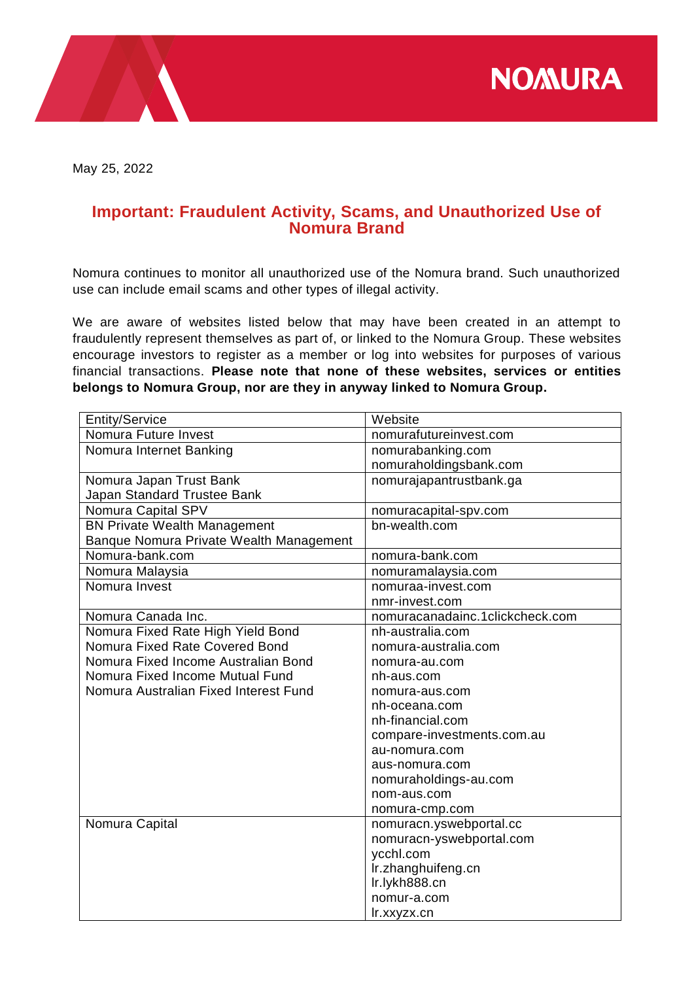**NOMURA** 



May 25, 2022

## **Important: Fraudulent Activity, Scams, and Unauthorized Use of Nomura Brand**

Nomura continues to monitor all unauthorized use of the Nomura brand. Such unauthorized use can include email scams and other types of illegal activity.

We are aware of websites listed below that may have been created in an attempt to fraudulently represent themselves as part of, or linked to the Nomura Group. These websites encourage investors to register as a member or log into websites for purposes of various financial transactions. **Please note that none of these websites, services or entities belongs to Nomura Group, nor are they in anyway linked to Nomura Group.**

| <b>Entity/Service</b>                   | Website                         |
|-----------------------------------------|---------------------------------|
| Nomura Future Invest                    | nomurafutureinvest.com          |
| Nomura Internet Banking                 | nomurabanking.com               |
|                                         | nomuraholdingsbank.com          |
| Nomura Japan Trust Bank                 | nomurajapantrustbank.ga         |
| Japan Standard Trustee Bank             |                                 |
| Nomura Capital SPV                      | nomuracapital-spv.com           |
| <b>BN Private Wealth Management</b>     | bn-wealth.com                   |
| Banque Nomura Private Wealth Management |                                 |
| Nomura-bank.com                         | nomura-bank.com                 |
| Nomura Malaysia                         | nomuramalaysia.com              |
| Nomura Invest                           | nomuraa-invest.com              |
|                                         | nmr-invest.com                  |
| Nomura Canada Inc.                      | nomuracanadainc.1clickcheck.com |
| Nomura Fixed Rate High Yield Bond       | nh-australia.com                |
| Nomura Fixed Rate Covered Bond          | nomura-australia.com            |
| Nomura Fixed Income Australian Bond     | nomura-au.com                   |
| Nomura Fixed Income Mutual Fund         | nh-aus.com                      |
| Nomura Australian Fixed Interest Fund   | nomura-aus.com                  |
|                                         | nh-oceana.com                   |
|                                         | nh-financial.com                |
|                                         | compare-investments.com.au      |
|                                         | au-nomura.com                   |
|                                         | aus-nomura.com                  |
|                                         | nomuraholdings-au.com           |
|                                         | nom-aus.com                     |
|                                         | nomura-cmp.com                  |
| Nomura Capital                          | nomuracn.yswebportal.cc         |
|                                         | nomuracn-yswebportal.com        |
|                                         | ycchl.com                       |
|                                         | Ir.zhanghuifeng.cn              |
|                                         | Ir.lykh888.cn                   |
|                                         | nomur-a.com                     |
|                                         | Ir.xxyzx.cn                     |